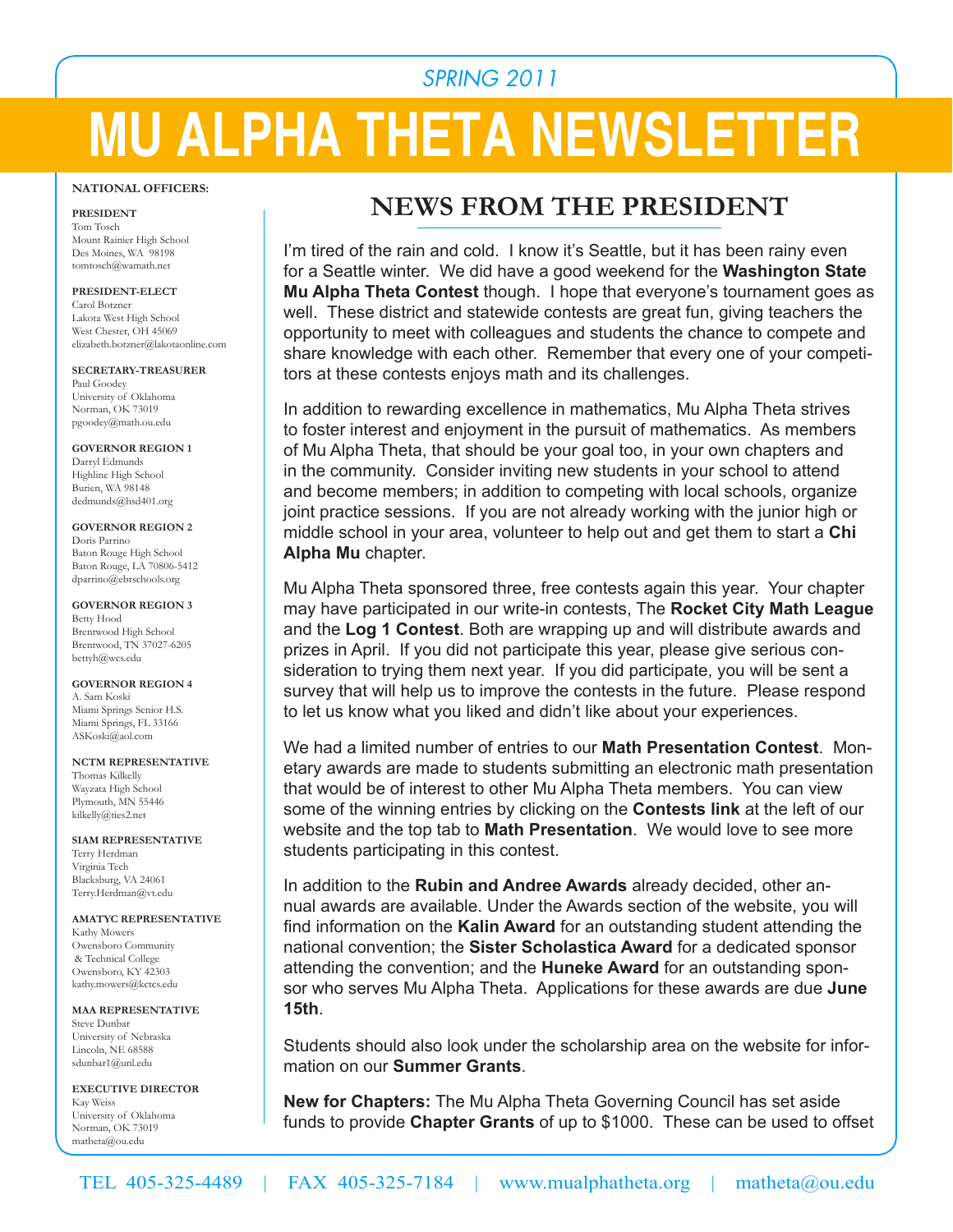# *SPRING 2011*

# **MU ALPHA THETA NEWSLETTER**

#### **NATIONAL OFFICERS:**

**PRESIDENT** Tom Tosch Mount Rainier High School Des Moines, WA 98198 tomtosch@wamath.net

#### **PRESIDENT-ELECT**

Carol Botzner Lakota West High School West Chester, OH 45069 elizabeth.botzner@lakotaonline.com

**SECRETARY-TREASURER** Paul Goodey University of Oklahoma Norman, OK 73019 pgoodey@math.ou.edu

**GOVERNOR REGION 1** Darryl Edmunds Highline High School Burien, WA 98148 dedmunds@hsd401.org

**GOVERNOR REGION 2** Doris Parrino Baton Rouge High School Baton Rouge, LA 70806-5412 dparrino@ebrschools.org

**GOVERNOR REGION 3** Betty Hood Brentwood High School Brentwood, TN 37027-6205 bettyh@wcs.edu

**GOVERNOR REGION 4** A. Sam Koski Miami Springs Senior H.S. Miami Springs, FL 33166 ASKoski@aol.com

#### **NCTM REPRESENTATIVE**

Thomas Kilkelly Wayzata High School Plymouth, MN 55446 kilkelly@ties2.net

**SIAM REPRESENTATIVE** Terry Herdman Virginia Tech Blacksburg, VA 24061 Terry.Herdman@vt.edu

#### **AMATYC REPRESENTATIVE**

Kathy Mowers Owensboro Community & Technical College Owensboro, KY 42303 kathy.mowers@kctcs.edu

**MAA REPRESENTATIVE** Steve Dunbar University of Nebraska Lincoln, NE 68588 sdunbar1@unl.edu

**EXECUTIVE DIRECTOR** Kay Weiss University of Oklahoma Norman, OK 73019 matheta@ou.edu

# **NEWS FROM THE PRESIDENT**

I'm tired of the rain and cold. I know it's Seattle, but it has been rainy even for a Seattle winter. We did have a good weekend for the **Washington State Mu Alpha Theta Contest** though. I hope that everyone's tournament goes as well. These district and statewide contests are great fun, giving teachers the opportunity to meet with colleagues and students the chance to compete and share knowledge with each other. Remember that every one of your competitors at these contests enjoys math and its challenges.

In addition to rewarding excellence in mathematics, Mu Alpha Theta strives to foster interest and enjoyment in the pursuit of mathematics. As members of Mu Alpha Theta, that should be your goal too, in your own chapters and in the community. Consider inviting new students in your school to attend and become members; in addition to competing with local schools, organize joint practice sessions. If you are not already working with the junior high or middle school in your area, volunteer to help out and get them to start a **Chi Alpha Mu** chapter.

Mu Alpha Theta sponsored three, free contests again this year. Your chapter may have participated in our write-in contests, The **Rocket City Math League** and the **Log 1 Contest**. Both are wrapping up and will distribute awards and prizes in April. If you did not participate this year, please give serious consideration to trying them next year. If you did participate, you will be sent a survey that will help us to improve the contests in the future. Please respond to let us know what you liked and didn't like about your experiences.

We had a limited number of entries to our **Math Presentation Contest**. Monetary awards are made to students submitting an electronic math presentation that would be of interest to other Mu Alpha Theta members. You can view some of the winning entries by clicking on the **Contests link** at the left of our website and the top tab to **Math Presentation**. We would love to see more students participating in this contest.

In addition to the **Rubin and Andree Awards** already decided, other annual awards are available. Under the Awards section of the website, you will find information on the **Kalin Award** for an outstanding student attending the national convention; the **Sister Scholastica Award** for a dedicated sponsor attending the convention; and the **Huneke Award** for an outstanding sponsor who serves Mu Alpha Theta. Applications for these awards are due **June 15th**.

Students should also look under the scholarship area on the website for information on our **Summer Grants**.

**New for Chapters:** The Mu Alpha Theta Governing Council has set aside funds to provide **Chapter Grants** of up to \$1000. These can be used to offset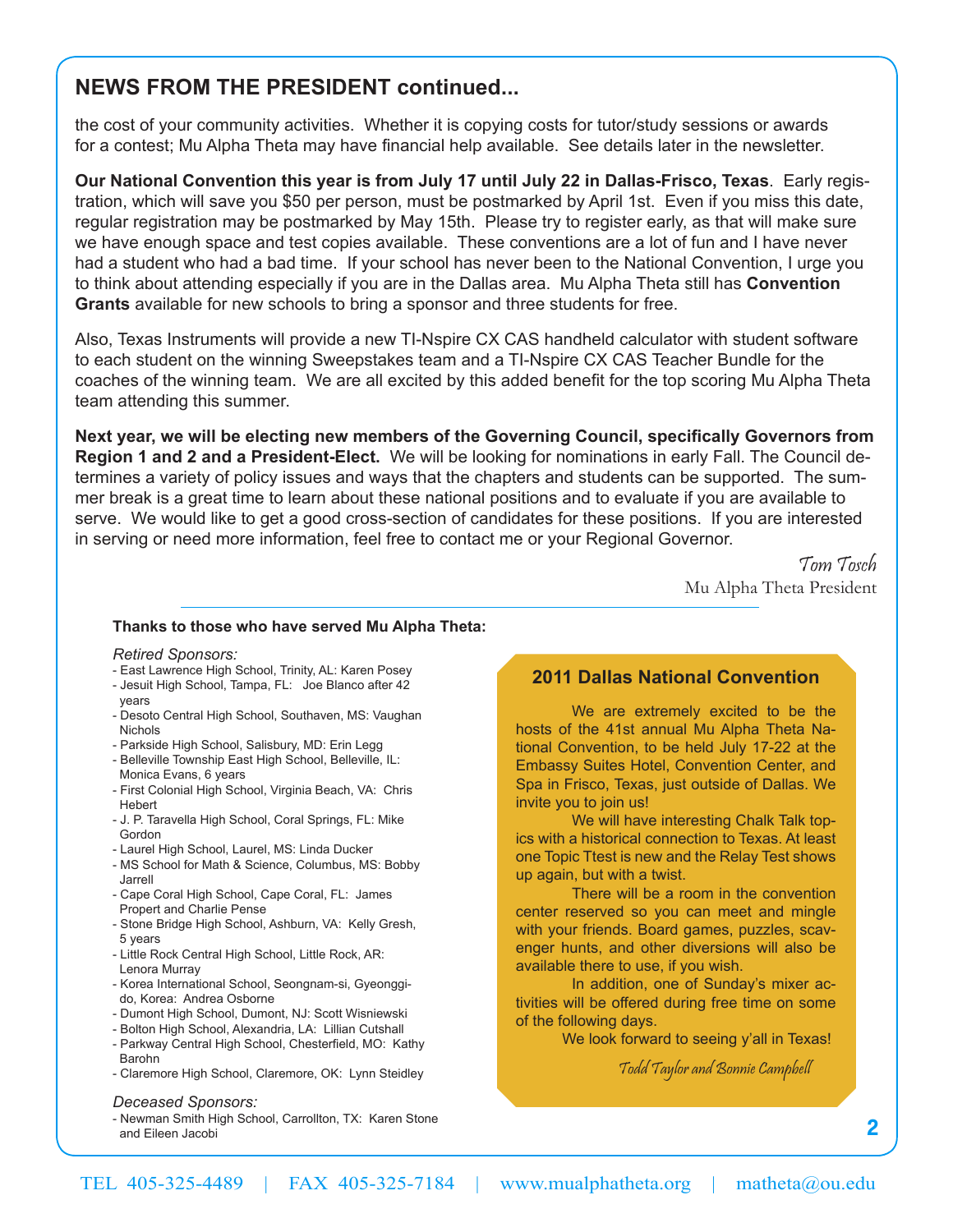# **NEWS FROM THE PRESIDENT continued...**

the cost of your community activities. Whether it is copying costs for tutor/study sessions or awards for a contest; Mu Alpha Theta may have financial help available. See details later in the newsletter.

**Our National Convention this year is from July 17 until July 22 in Dallas-Frisco, Texas**. Early registration, which will save you \$50 per person, must be postmarked by April 1st. Even if you miss this date, regular registration may be postmarked by May 15th. Please try to register early, as that will make sure we have enough space and test copies available. These conventions are a lot of fun and I have never had a student who had a bad time. If your school has never been to the National Convention, I urge you to think about attending especially if you are in the Dallas area. Mu Alpha Theta still has **Convention Grants** available for new schools to bring a sponsor and three students for free.

Also, Texas Instruments will provide a new TI-Nspire CX CAS handheld calculator with student software to each student on the winning Sweepstakes team and a TI-Nspire CX CAS Teacher Bundle for the coaches of the winning team. We are all excited by this added benefit for the top scoring Mu Alpha Theta team attending this summer.

**Next year, we will be electing new members of the Governing Council, specifically Governors from Region 1 and 2 and a President-Elect.** We will be looking for nominations in early Fall. The Council determines a variety of policy issues and ways that the chapters and students can be supported. The summer break is a great time to learn about these national positions and to evaluate if you are available to serve. We would like to get a good cross-section of candidates for these positions. If you are interested in serving or need more information, feel free to contact me or your Regional Governor.

> Tom Tosch Mu Alpha Theta President

#### **Thanks to those who have served Mu Alpha Theta:**

*Retired Sponsors:*

- East Lawrence High School, Trinity, AL: Karen Posey
- Jesuit High School, Tampa, FL: Joe Blanco after 42
- years - Desoto Central High School, Southaven, MS: Vaughan Nichols
- Parkside High School, Salisbury, MD: Erin Legg
- Belleville Township East High School, Belleville, IL: Monica Evans, 6 years
- First Colonial High School, Virginia Beach, VA: Chris Hebert
- J. P. Taravella High School, Coral Springs, FL: Mike Gordon
- Laurel High School, Laurel, MS: Linda Ducker
- MS School for Math & Science, Columbus, MS: Bobby Jarrell
- Cape Coral High School, Cape Coral, FL: James Propert and Charlie Pense
- Stone Bridge High School, Ashburn, VA: Kelly Gresh, 5 years
- Little Rock Central High School, Little Rock, AR: Lenora Murray
- Korea International School, Seongnam-si, Gyeonggi do, Korea: Andrea Osborne
- Dumont High School, Dumont, NJ: Scott Wisniewski
- Bolton High School, Alexandria, LA: Lillian Cutshall
- Parkway Central High School, Chesterfield, MO: Kathy Barohn
- Claremore High School, Claremore, OK: Lynn Steidley

*Deceased Sponsors:* 

- Newman Smith High School, Carrollton, TX: Karen Stone and Eileen Jacobi

## **2011 Dallas National Convention**

We are extremely excited to be the hosts of the 41st annual Mu Alpha Theta National Convention, to be held July 17-22 at the Embassy Suites Hotel, Convention Center, and Spa in Frisco, Texas, just outside of Dallas. We invite you to join us!

We will have interesting Chalk Talk topics with a historical connection to Texas. At least one Topic Ttest is new and the Relay Test shows up again, but with a twist.

There will be a room in the convention center reserved so you can meet and mingle with your friends. Board games, puzzles, scavenger hunts, and other diversions will also be available there to use, if you wish.

In addition, one of Sunday's mixer activities will be offered during free time on some of the following days.

We look forward to seeing y'all in Texas!

Todd Taylor and Bonnie Campbell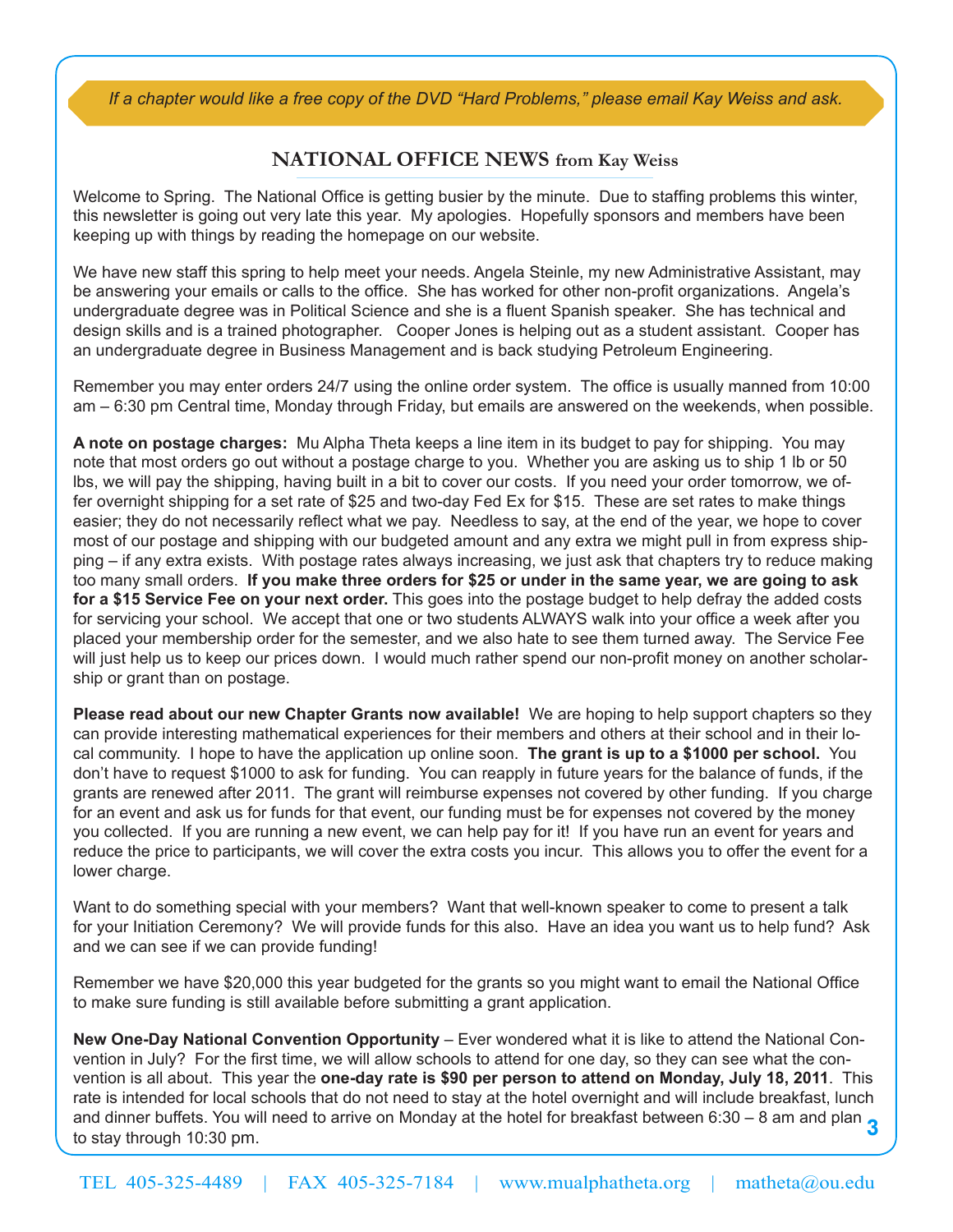*If a chapter would like a free copy of the DVD "Hard Problems," please email Kay Weiss and ask.*

## **NATIONAL OFFICE NEWS from Kay Weiss**

Welcome to Spring. The National Office is getting busier by the minute. Due to staffing problems this winter, this newsletter is going out very late this year. My apologies. Hopefully sponsors and members have been keeping up with things by reading the homepage on our website.

We have new staff this spring to help meet your needs. Angela Steinle, my new Administrative Assistant, may be answering your emails or calls to the office. She has worked for other non-profit organizations. Angela's undergraduate degree was in Political Science and she is a fluent Spanish speaker. She has technical and design skills and is a trained photographer. Cooper Jones is helping out as a student assistant. Cooper has an undergraduate degree in Business Management and is back studying Petroleum Engineering.

Remember you may enter orders 24/7 using the online order system. The office is usually manned from 10:00 am – 6:30 pm Central time, Monday through Friday, but emails are answered on the weekends, when possible.

**A note on postage charges:** Mu Alpha Theta keeps a line item in its budget to pay for shipping. You may note that most orders go out without a postage charge to you. Whether you are asking us to ship 1 lb or 50 lbs, we will pay the shipping, having built in a bit to cover our costs. If you need your order tomorrow, we offer overnight shipping for a set rate of \$25 and two-day Fed Ex for \$15. These are set rates to make things easier; they do not necessarily reflect what we pay. Needless to say, at the end of the year, we hope to cover most of our postage and shipping with our budgeted amount and any extra we might pull in from express shipping – if any extra exists. With postage rates always increasing, we just ask that chapters try to reduce making too many small orders. **If you make three orders for \$25 or under in the same year, we are going to ask for a \$15 Service Fee on your next order.** This goes into the postage budget to help defray the added costs for servicing your school. We accept that one or two students ALWAYS walk into your office a week after you placed your membership order for the semester, and we also hate to see them turned away. The Service Fee will just help us to keep our prices down. I would much rather spend our non-profit money on another scholarship or grant than on postage.

**Please read about our new Chapter Grants now available!** We are hoping to help support chapters so they can provide interesting mathematical experiences for their members and others at their school and in their local community. I hope to have the application up online soon. **The grant is up to a \$1000 per school.** You don't have to request \$1000 to ask for funding. You can reapply in future years for the balance of funds, if the grants are renewed after 2011. The grant will reimburse expenses not covered by other funding. If you charge for an event and ask us for funds for that event, our funding must be for expenses not covered by the money you collected. If you are running a new event, we can help pay for it! If you have run an event for years and reduce the price to participants, we will cover the extra costs you incur. This allows you to offer the event for a lower charge.

Want to do something special with your members? Want that well-known speaker to come to present a talk for your Initiation Ceremony? We will provide funds for this also. Have an idea you want us to help fund? Ask and we can see if we can provide funding!

Remember we have \$20,000 this year budgeted for the grants so you might want to email the National Office to make sure funding is still available before submitting a grant application.

and dinner buffets. You will need to arrive on Monday at the hotel for breakfast between 6:30 – 8 am and plan  $\bf{3}$ <br>to stay through 10:30 pm **New One-Day National Convention Opportunity** – Ever wondered what it is like to attend the National Convention in July? For the first time, we will allow schools to attend for one day, so they can see what the convention is all about. This year the **one-day rate is \$90 per person to attend on Monday, July 18, 2011**. This rate is intended for local schools that do not need to stay at the hotel overnight and will include breakfast, lunch to stay through 10:30 pm.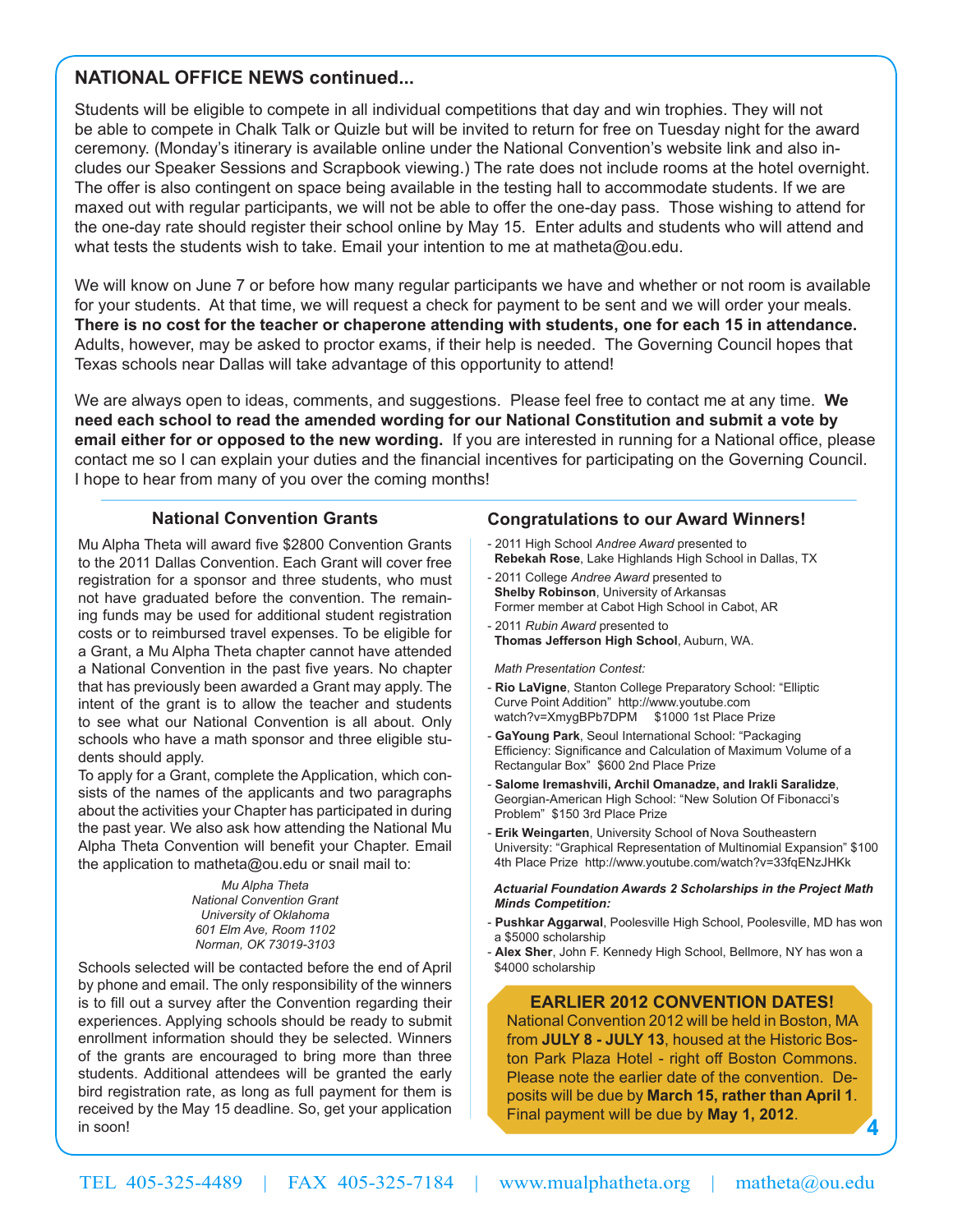## **NATIONAL OFFICE NEWS continued...**

Students will be eligible to compete in all individual competitions that day and win trophies. They will not be able to compete in Chalk Talk or Quizle but will be invited to return for free on Tuesday night for the award ceremony. (Monday's itinerary is available online under the National Convention's website link and also includes our Speaker Sessions and Scrapbook viewing.) The rate does not include rooms at the hotel overnight. The offer is also contingent on space being available in the testing hall to accommodate students. If we are maxed out with regular participants, we will not be able to offer the one-day pass. Those wishing to attend for the one-day rate should register their school online by May 15. Enter adults and students who will attend and what tests the students wish to take. Email your intention to me at matheta@ou.edu.

We will know on June 7 or before how many regular participants we have and whether or not room is available for your students. At that time, we will request a check for payment to be sent and we will order your meals. **There is no cost for the teacher or chaperone attending with students, one for each 15 in attendance.** Adults, however, may be asked to proctor exams, if their help is needed. The Governing Council hopes that Texas schools near Dallas will take advantage of this opportunity to attend!

We are always open to ideas, comments, and suggestions. Please feel free to contact me at any time. **We need each school to read the amended wording for our National Constitution and submit a vote by email either for or opposed to the new wording.** If you are interested in running for a National office, please contact me so I can explain your duties and the financial incentives for participating on the Governing Council. I hope to hear from many of you over the coming months!

### **National Convention Grants**

Mu Alpha Theta will award five \$2800 Convention Grants to the 2011 Dallas Convention. Each Grant will cover free registration for a sponsor and three students, who must not have graduated before the convention. The remaining funds may be used for additional student registration costs or to reimbursed travel expenses. To be eligible for a Grant, a Mu Alpha Theta chapter cannot have attended a National Convention in the past five years. No chapter that has previously been awarded a Grant may apply. The intent of the grant is to allow the teacher and students to see what our National Convention is all about. Only schools who have a math sponsor and three eligible students should apply.

To apply for a Grant, complete the Application, which consists of the names of the applicants and two paragraphs about the activities your Chapter has participated in during the past year. We also ask how attending the National Mu Alpha Theta Convention will benefit your Chapter. Email the application to matheta@ou.edu or snail mail to:

> *Mu Alpha Theta National Convention Grant University of Oklahoma 601 Elm Ave, Room 1102 Norman, OK 73019-3103*

Schools selected will be contacted before the end of April by phone and email. The only responsibility of the winners is to fill out a survey after the Convention regarding their experiences. Applying schools should be ready to submit enrollment information should they be selected. Winners of the grants are encouraged to bring more than three students. Additional attendees will be granted the early bird registration rate, as long as full payment for them is received by the May 15 deadline. So, get your application in soon!

## **Congratulations to our Award Winners!**

- 2011 High School *Andree Award* presented to **Rebekah Rose**, Lake Highlands High School in Dallas, TX
- 2011 College *Andree Award* presented to **Shelby Robinson**, University of Arkansas Former member at Cabot High School in Cabot, AR
- 2011 *Rubin Award* presented to **Thomas Jefferson High School**, Auburn, WA.

 *Math Presentation Contest:*

- **Rio LaVigne**, Stanton College Preparatory School: "Elliptic Curve Point Addition" http://www.youtube.com watch?v=XmygBPb7DPM \$1000 1st Place Prize
- **GaYoung Park**, Seoul International School: "Packaging Efficiency: Significance and Calculation of Maximum Volume of a Rectangular Box" \$600 2nd Place Prize
- **Salome Iremashvili, Archil Omanadze, and Irakli Saralidze**, Georgian-American High School: "New Solution Of Fibonacci's Problem" \$150 3rd Place Prize
- **Erik Weingarten**, University School of Nova Southeastern University: "Graphical Representation of Multinomial Expansion" \$100 4th Place Prize http://www.youtube.com/watch?v=33fqENzJHKk

#### *Actuarial Foundation Awards 2 Scholarships in the Project Math Minds Competition:*

- **Pushkar Aggarwal**, Poolesville High School, Poolesville, MD has won a \$5000 scholarship
- **Alex Sher**, John F. Kennedy High School, Bellmore, NY has won a \$4000 scholarship

#### **EARLIER 2012 CONVENTION DATES!**

National Convention 2012 will be held in Boston, MA from **JULY 8 - JULY 13**, housed at the Historic Boston Park Plaza Hotel - right off Boston Commons. Please note the earlier date of the convention. Deposits will be due by **March 15, rather than April 1**. Final payment will be due by **May 1, 2012**.

**4**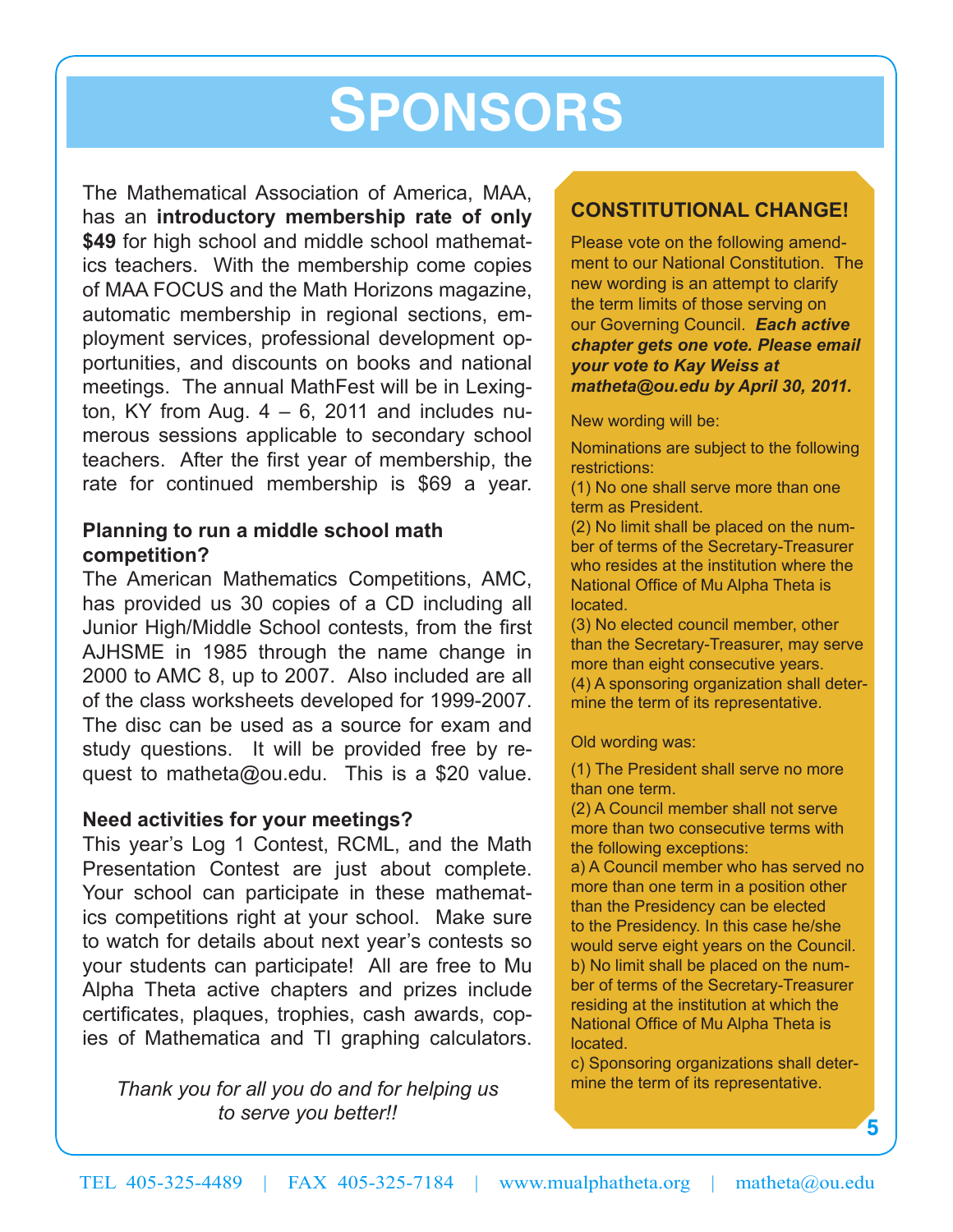# **SPONSORS**

The Mathematical Association of America, MAA, has an **introductory membership rate of only \$49** for high school and middle school mathematics teachers. With the membership come copies of MAA FOCUS and the Math Horizons magazine, automatic membership in regional sections, employment services, professional development opportunities, and discounts on books and national meetings. The annual MathFest will be in Lexington, KY from Aug.  $4 - 6$ , 2011 and includes numerous sessions applicable to secondary school teachers. After the first year of membership, the rate for continued membership is \$69 a year.

## **Planning to run a middle school math competition?**

The American Mathematics Competitions, AMC, has provided us 30 copies of a CD including all Junior High/Middle School contests, from the first AJHSME in 1985 through the name change in 2000 to AMC 8, up to 2007. Also included are all of the class worksheets developed for 1999-2007. The disc can be used as a source for exam and study questions. It will be provided free by request to matheta@ou.edu. This is a \$20 value.

## **Need activities for your meetings?**

This year's Log 1 Contest, RCML, and the Math Presentation Contest are just about complete. Your school can participate in these mathematics competitions right at your school. Make sure to watch for details about next year's contests so your students can participate! All are free to Mu Alpha Theta active chapters and prizes include certificates, plaques, trophies, cash awards, copies of Mathematica and TI graphing calculators.

*Thank you for all you do and for helping us to serve you better!!*

## **CONSTITUTIONAL CHANGE!**

Please vote on the following amendment to our National Constitution. The new wording is an attempt to clarify the term limits of those serving on our Governing Council. *Each active chapter gets one vote. Please email your vote to Kay Weiss at matheta@ou.edu by April 30, 2011.* 

New wording will be:

Nominations are subject to the following restrictions:

(1) No one shall serve more than one term as President.

(2) No limit shall be placed on the number of terms of the Secretary-Treasurer who resides at the institution where the National Office of Mu Alpha Theta is located.

(3) No elected council member, other than the Secretary-Treasurer, may serve more than eight consecutive years. (4) A sponsoring organization shall determine the term of its representative.

Old wording was:

(1) The President shall serve no more than one term.

(2) A Council member shall not serve more than two consecutive terms with the following exceptions:

a) A Council member who has served no more than one term in a position other than the Presidency can be elected to the Presidency. In this case he/she would serve eight years on the Council. b) No limit shall be placed on the number of terms of the Secretary-Treasurer residing at the institution at which the National Office of Mu Alpha Theta is located.

c) Sponsoring organizations shall determine the term of its representative.

**5**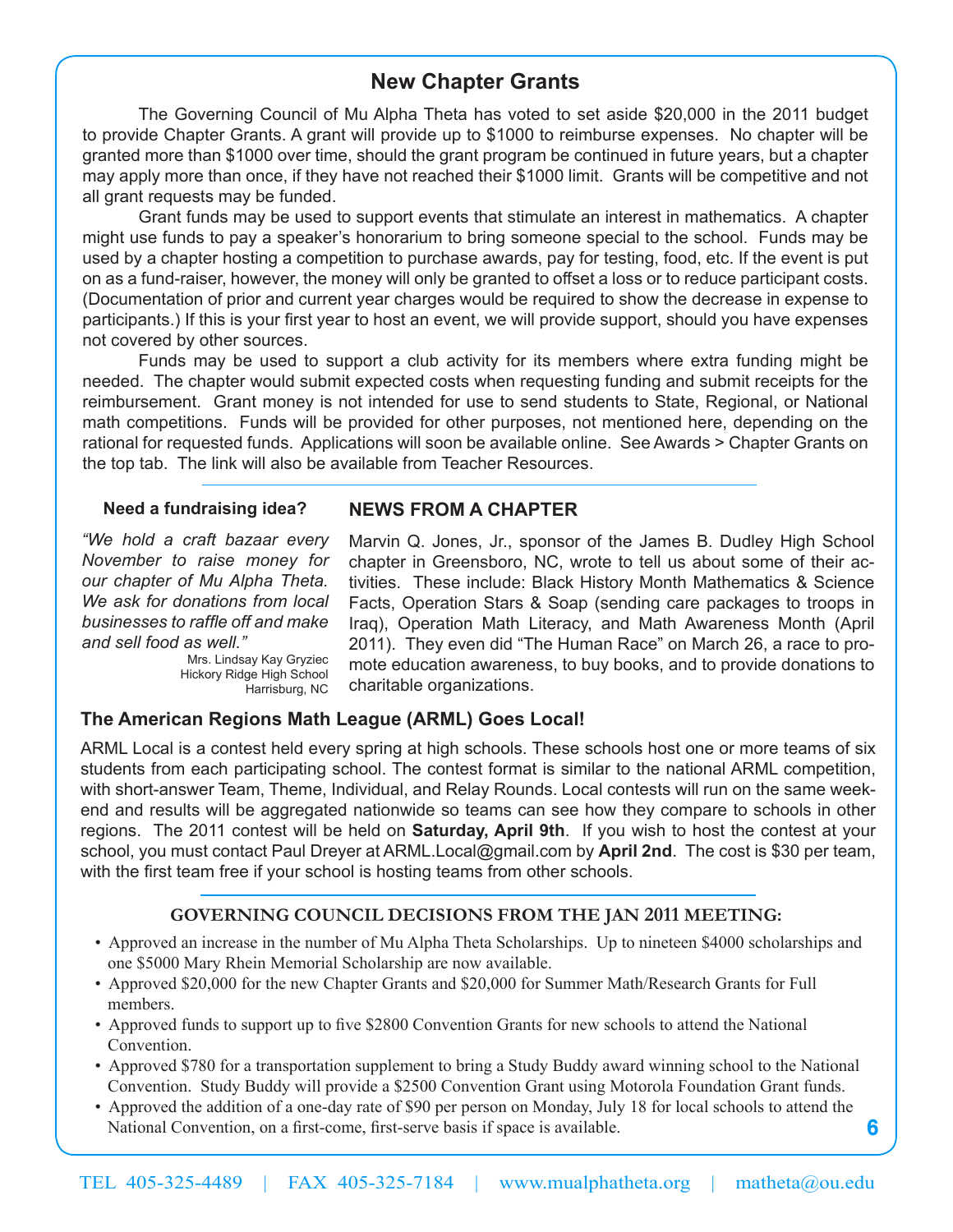## **New Chapter Grants**

The Governing Council of Mu Alpha Theta has voted to set aside \$20,000 in the 2011 budget to provide Chapter Grants. A grant will provide up to \$1000 to reimburse expenses. No chapter will be granted more than \$1000 over time, should the grant program be continued in future years, but a chapter may apply more than once, if they have not reached their \$1000 limit. Grants will be competitive and not all grant requests may be funded.

Grant funds may be used to support events that stimulate an interest in mathematics. A chapter might use funds to pay a speaker's honorarium to bring someone special to the school. Funds may be used by a chapter hosting a competition to purchase awards, pay for testing, food, etc. If the event is put on as a fund-raiser, however, the money will only be granted to offset a loss or to reduce participant costs. (Documentation of prior and current year charges would be required to show the decrease in expense to participants.) If this is your first year to host an event, we will provide support, should you have expenses not covered by other sources.

Funds may be used to support a club activity for its members where extra funding might be needed. The chapter would submit expected costs when requesting funding and submit receipts for the reimbursement. Grant money is not intended for use to send students to State, Regional, or National math competitions. Funds will be provided for other purposes, not mentioned here, depending on the rational for requested funds. Applications will soon be available online. See Awards > Chapter Grants on the top tab. The link will also be available from Teacher Resources.

#### **Need a fundraising idea?**

*"We hold a craft bazaar every November to raise money for our chapter of Mu Alpha Theta. We ask for donations from local businesses to raffle off and make and sell food as well."* 

> Mrs. Lindsay Kay Gryziec Hickory Ridge High School Harrisburg, NC

### **NEWS FROM A CHAPTER**

Marvin Q. Jones, Jr., sponsor of the James B. Dudley High School chapter in Greensboro, NC, wrote to tell us about some of their activities. These include: Black History Month Mathematics & Science Facts, Operation Stars & Soap (sending care packages to troops in Iraq), Operation Math Literacy, and Math Awareness Month (April 2011). They even did "The Human Race" on March 26, a race to promote education awareness, to buy books, and to provide donations to charitable organizations.

**6**

## **The American Regions Math League (ARML) Goes Local!**

ARML Local is a contest held every spring at high schools. These schools host one or more teams of six students from each participating school. The contest format is similar to the national ARML competition, with short-answer Team, Theme, Individual, and Relay Rounds. Local contests will run on the same weekend and results will be aggregated nationwide so teams can see how they compare to schools in other regions. The 2011 contest will be held on **Saturday, April 9th**. If you wish to host the contest at your school, you must contact Paul Dreyer at ARML.Local@gmail.com by **April 2nd**. The cost is \$30 per team, with the first team free if your school is hosting teams from other schools.

## **GOVERNING COUNCIL DECISIONS FROM THE JAN 2011 MEETING:**

- Approved an increase in the number of Mu Alpha Theta Scholarships. Up to nineteen \$4000 scholarships and one \$5000 Mary Rhein Memorial Scholarship are now available.
- Approved \$20,000 for the new Chapter Grants and \$20,000 for Summer Math/Research Grants for Full members.
- Approved funds to support up to five \$2800 Convention Grants for new schools to attend the National Convention.
- Approved \$780 for a transportation supplement to bring a Study Buddy award winning school to the National Convention. Study Buddy will provide a \$2500 Convention Grant using Motorola Foundation Grant funds.
- Approved the addition of a one-day rate of \$90 per person on Monday, July 18 for local schools to attend the National Convention, on a first-come, first-serve basis if space is available.